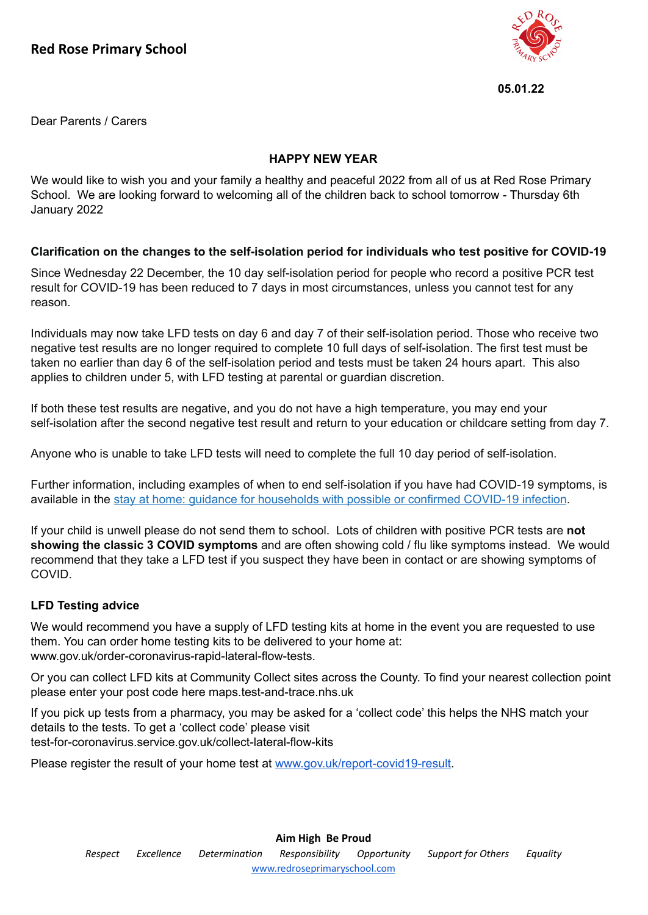

**05.01.22**

Dear Parents / Carers

### **HAPPY NEW YEAR**

We would like to wish you and your family a healthy and peaceful 2022 from all of us at Red Rose Primary School. We are looking forward to welcoming all of the children back to school tomorrow - Thursday 6th January 2022

# **Clarification on the changes to the self-isolation period for individuals who test positive for COVID-19**

Since Wednesday 22 December, the 10 day self-isolation period for people who record a positive PCR test result for COVID-19 has been reduced to 7 days in most circumstances, unless you cannot test for any reason.

Individuals may now take LFD tests on day 6 and day 7 of their self-isolation period. Those who receive two negative test results are no longer required to complete 10 full days of self-isolation. The first test must be taken no earlier than day 6 of the self-isolation period and tests must be taken 24 hours apart. This also applies to children under 5, with LFD testing at parental or guardian discretion.

If both these test results are negative, and you do not have a high temperature, you may end your self-isolation after the second negative test result and return to your education or childcare setting from day 7.

Anyone who is unable to take LFD tests will need to complete the full 10 day period of self-isolation.

Further information, including examples of when to end self-isolation if you have had COVID-19 symptoms, is available in the stay at home: guidance for [households](https://www.gov.uk/government/publications/covid-19-stay-at-home-guidance/stay-at-home-guidance-for-households-with-possible-coronavirus-covid-19-infection?utm_source=4%20January%202022%20C19&utm_medium=Daily%20Email%20C19&utm_campaign=DfE%20C19#SymptomsPositiveTest) with possible or confirmed COVID-19 infection.

If your child is unwell please do not send them to school. Lots of children with positive PCR tests are **not showing the classic 3 COVID symptoms** and are often showing cold / flu like symptoms instead. We would recommend that they take a LFD test if you suspect they have been in contact or are showing symptoms of COVID.

# **LFD Testing advice**

We would recommend you have a supply of LFD testing kits at home in the event you are requested to use them. You can order home testing kits to be delivered to your home at: www.gov.uk/order-coronavirus-rapid-lateral-flow-tests.

Or you can collect LFD kits at Community Collect sites across the County. To find your nearest collection point please enter your post code here maps.test-and-trace.nhs.uk

If you pick up tests from a pharmacy, you may be asked for a 'collect code' this helps the NHS match your details to the tests. To get a 'collect code' please visit test-for-coronavirus.service.gov.uk/collect-lateral-flow-kits

Please register the result of your home test at [www.gov.uk/report-covid19-result.](http://www.gov.uk/report-covid19-result)